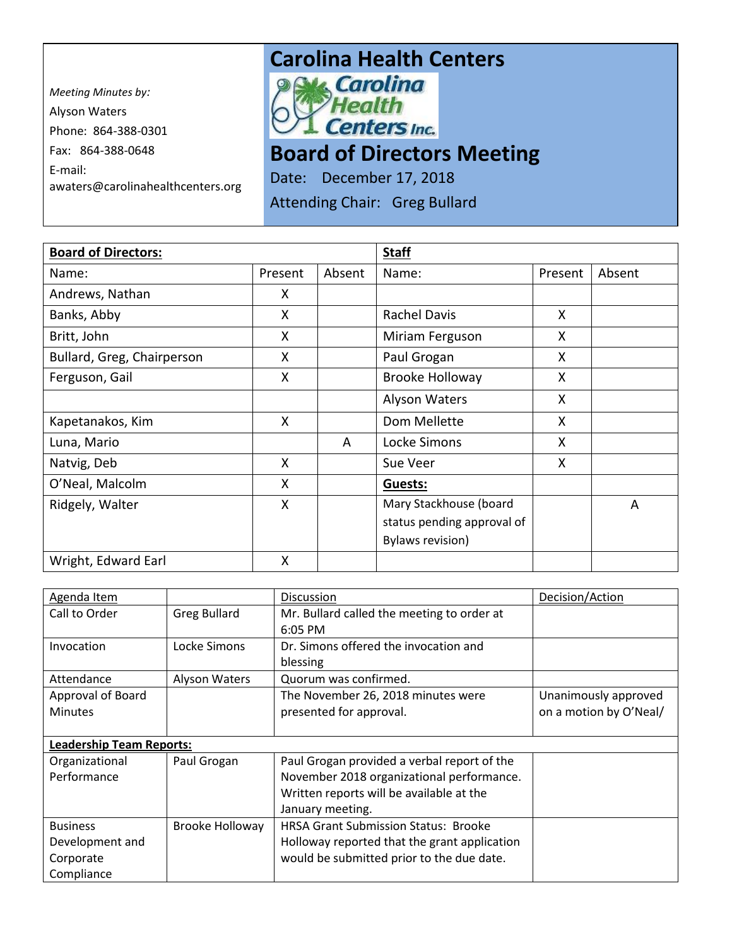*Meeting Minutes by:*  Alyson Waters Phone: 864-388-0301 Fax: 864-388-0648 E-mail: awaters@carolinahealthcenters.org

## **Carolina Health Centers**<br>*Pak Carolina*



## **Board of Directors Meeting**

Date: December 17, 2018

Attending Chair: Greg Bullard

| <b>Board of Directors:</b> |         |        | <b>Staff</b>               |         |        |
|----------------------------|---------|--------|----------------------------|---------|--------|
| Name:                      | Present | Absent | Name:                      | Present | Absent |
| Andrews, Nathan            | X       |        |                            |         |        |
| Banks, Abby                | X       |        | <b>Rachel Davis</b>        | X       |        |
| Britt, John                | X       |        | Miriam Ferguson            | X       |        |
| Bullard, Greg, Chairperson | X       |        | Paul Grogan                | X       |        |
| Ferguson, Gail             | X       |        | <b>Brooke Holloway</b>     | X       |        |
|                            |         |        | <b>Alyson Waters</b>       | X       |        |
| Kapetanakos, Kim           | X       |        | Dom Mellette               | X       |        |
| Luna, Mario                |         | A      | Locke Simons               | X       |        |
| Natvig, Deb                | X       |        | Sue Veer                   | X       |        |
| O'Neal, Malcolm            | X       |        | <b>Guests:</b>             |         |        |
| Ridgely, Walter            | X       |        | Mary Stackhouse (board     |         | A      |
|                            |         |        | status pending approval of |         |        |
|                            |         |        | <b>Bylaws revision)</b>    |         |        |
| Wright, Edward Earl        | X       |        |                            |         |        |

| Agenda Item                     |                     | <b>Discussion</b>                            | Decision/Action        |  |  |
|---------------------------------|---------------------|----------------------------------------------|------------------------|--|--|
| Call to Order                   | <b>Greg Bullard</b> | Mr. Bullard called the meeting to order at   |                        |  |  |
|                                 |                     | $6:05$ PM                                    |                        |  |  |
| Invocation                      | Locke Simons        | Dr. Simons offered the invocation and        |                        |  |  |
|                                 |                     | blessing                                     |                        |  |  |
| Attendance                      | Alyson Waters       | Quorum was confirmed.                        |                        |  |  |
| Approval of Board               |                     | The November 26, 2018 minutes were           | Unanimously approved   |  |  |
| <b>Minutes</b>                  |                     | presented for approval.                      | on a motion by O'Neal/ |  |  |
|                                 |                     |                                              |                        |  |  |
| <b>Leadership Team Reports:</b> |                     |                                              |                        |  |  |
| Organizational                  | Paul Grogan         | Paul Grogan provided a verbal report of the  |                        |  |  |
| Performance                     |                     | November 2018 organizational performance.    |                        |  |  |
|                                 |                     | Written reports will be available at the     |                        |  |  |
|                                 |                     | January meeting.                             |                        |  |  |
| <b>Business</b>                 | Brooke Holloway     | <b>HRSA Grant Submission Status: Brooke</b>  |                        |  |  |
| Development and                 |                     | Holloway reported that the grant application |                        |  |  |
| Corporate                       |                     | would be submitted prior to the due date.    |                        |  |  |
| Compliance                      |                     |                                              |                        |  |  |